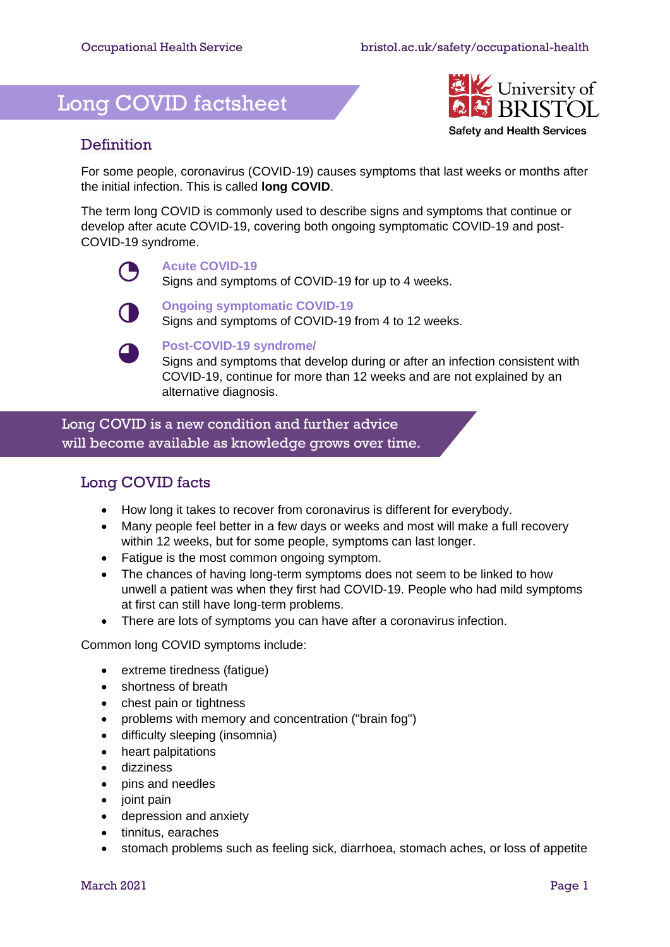# Long COVID factsheet



#### **Definition**

For some people, coronavirus (COVID-19) causes symptoms that last weeks or months after the initial infection. This is called **long COVID**.

The term long COVID is commonly used to describe signs and symptoms that continue or develop after acute COVID-19, covering both ongoing symptomatic COVID-19 and post-COVID-19 syndrome.

#### **Acute COVID-19**

Signs and symptoms of COVID-19 for up to 4 weeks.



#### **Ongoing symptomatic COVID-19**

Signs and symptoms of COVID-19 from 4 to 12 weeks.

#### **Post-COVID-19 syndrome/**

Signs and symptoms that develop during or after an infection consistent with COVID-19, continue for more than 12 weeks and are not explained by an alternative diagnosis.

 Long COVID is a new condition and further advice will become available as knowledge grows over time.

### Long COVID facts

- How long it takes to recover from coronavirus is different for everybody.
- Many people feel better in a few days or weeks and most will make a full recovery within 12 weeks, but for some people, symptoms can last longer.
- Fatigue is the most common ongoing symptom.
- The chances of having long-term symptoms does not seem to be linked to how unwell a patient was when they first had COVID-19. People who had mild symptoms at first can still have long-term problems.
- There are lots of symptoms you can have after a coronavirus infection.

Common long COVID symptoms include:

- extreme tiredness (fatigue)
- shortness of breath
- chest pain or tightness
- problems with memory and concentration ("brain fog")
- difficulty sleeping (insomnia)
- heart palpitations
- dizziness
- pins and needles
- joint pain
- depression and anxiety
- tinnitus, earaches
- stomach problems such as feeling sick, diarrhoea, stomach aches, or loss of appetite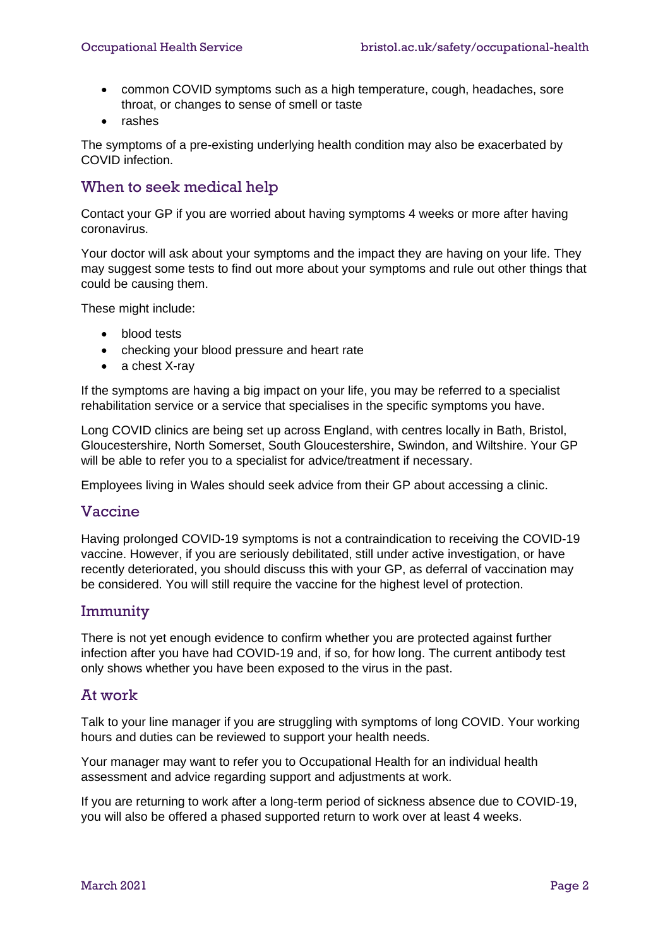- common COVID symptoms such as a high temperature, cough, headaches, sore throat, or changes to sense of smell or taste
- rashes

The symptoms of a pre-existing underlying health condition may also be exacerbated by COVID infection.

#### When to seek medical help

Contact your GP if you are worried about having symptoms 4 weeks or more after having coronavirus.

Your doctor will ask about your symptoms and the impact they are having on your life. They may suggest some tests to find out more about your symptoms and rule out other things that could be causing them.

These might include:

- blood tests
- checking your blood pressure and heart rate
- a chest X-ray

If the symptoms are having a big impact on your life, you may be referred to a specialist rehabilitation service or a service that specialises in the specific symptoms you have.

Long COVID clinics are being set up across England, with centres locally in Bath, Bristol, Gloucestershire, North Somerset, South Gloucestershire, Swindon, and Wiltshire. Your GP will be able to refer you to a specialist for advice/treatment if necessary.

Employees living in Wales should seek advice from their GP about accessing a clinic.

#### Vaccine

Having prolonged COVID-19 symptoms is not a contraindication to receiving the COVID-19 vaccine. However, if you are seriously debilitated, still under active investigation, or have recently deteriorated, you should discuss this with your GP, as deferral of vaccination may be considered. You will still require the vaccine for the highest level of protection.

#### Immunity

There is not yet enough evidence to confirm whether you are protected against further infection after you have had COVID-19 and, if so, for how long. The current antibody test only shows whether you have been exposed to the virus in the past.

#### At work

Talk to your line manager if you are struggling with symptoms of long COVID. Your working hours and duties can be reviewed to support your health needs.

Your manager may want to refer you to Occupational Health for an individual health assessment and advice regarding support and adjustments at work.

If you are returning to work after a long-term period of sickness absence due to COVID-19, you will also be offered a phased supported return to work over at least 4 weeks.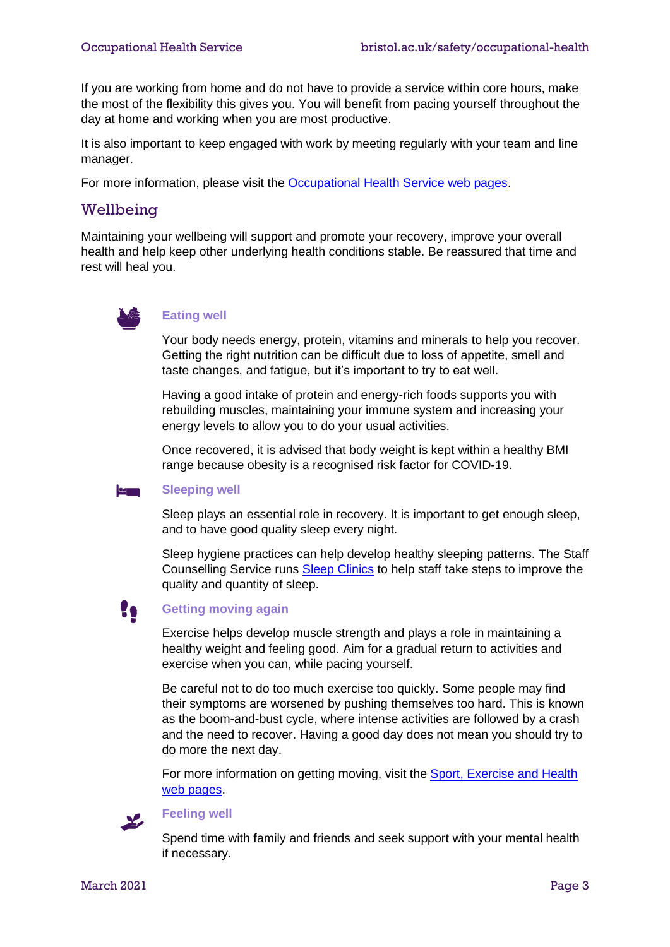If you are working from home and do not have to provide a service within core hours, make the most of the flexibility this gives you. You will benefit from pacing yourself throughout the day at home and working when you are most productive.

It is also important to keep engaged with work by meeting regularly with your team and line manager.

For more information, please visit the [Occupational Health Service](http://www.bristol.ac.uk/safety/occupational-health/) web pages.

#### Wellbeing

Maintaining your wellbeing will support and promote your recovery, improve your overall health and help keep other underlying health conditions stable. Be reassured that time and rest will heal you.



#### **Eating well**

Your body needs energy, protein, vitamins and minerals to help you recover. Getting the right nutrition can be difficult due to loss of appetite, smell and taste changes, and fatigue, but it's important to try to eat well.

Having a good intake of protein and energy-rich foods supports you with rebuilding muscles, maintaining your immune system and increasing your energy levels to allow you to do your usual activities.

Once recovered, it is advised that body weight is kept within a healthy BMI range because obesity is a recognised risk factor for COVID-19.

#### <u>kannan</u> **Sleeping well**

Sleep plays an essential role in recovery. It is important to get enough sleep, and to have good quality sleep every night.

Sleep hygiene practices can help develop healthy sleeping patterns. The Staff Counselling Service runs [Sleep Clinics](https://uob.sharepoint.com/sites/staff-counselling/SitePages/sleep-clinic.aspx) to help staff take steps to improve the quality and quantity of sleep.



#### **Getting moving again**

Exercise helps develop muscle strength and plays a role in maintaining a healthy weight and feeling good. Aim for a gradual return to activities and exercise when you can, while pacing yourself.

Be careful not to do too much exercise too quickly. Some people may find their symptoms are worsened by pushing themselves too hard. This is known as the boom-and-bust cycle, where intense activities are followed by a crash and the need to recover. Having a good day does not mean you should try to do more the next day.

For more information on getting moving, visit the Sport, Exercise and Health [web pages.](http://www.bristol.ac.uk/sport/)



#### **Feeling well**

Spend time with family and friends and seek support with your mental health if necessary.